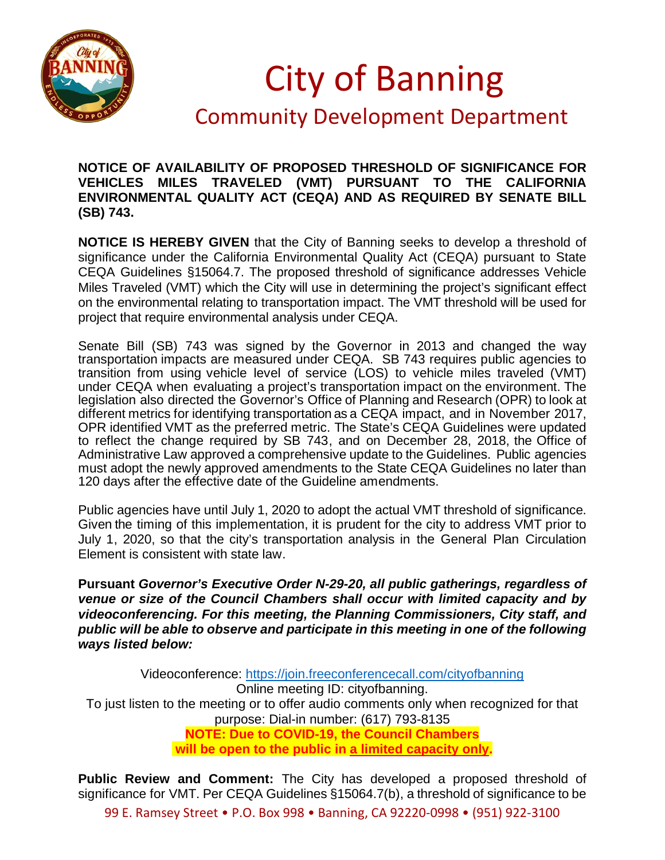

## City of Banning

## Community Development Department

## **NOTICE OF AVAILABILITY OF PROPOSED THRESHOLD OF SIGNIFICANCE FOR VEHICLES MILES TRAVELED (VMT) PURSUANT TO THE CALIFORNIA ENVIRONMENTAL QUALITY ACT (CEQA) AND AS REQUIRED BY SENATE BILL (SB) 743.**

**NOTICE IS HEREBY GIVEN** that the City of Banning seeks to develop a threshold of significance under the California Environmental Quality Act (CEQA) pursuant to State CEQA Guidelines §15064.7. The proposed threshold of significance addresses Vehicle Miles Traveled (VMT) which the City will use in determining the project's significant effect on the environmental relating to transportation impact. The VMT threshold will be used for project that require environmental analysis under CEQA.

Senate Bill (SB) 743 was signed by the Governor in 2013 and changed the way transportation impacts are measured under CEQA. SB 743 requires public agencies to transition from using vehicle level of service (LOS) to vehicle miles traveled (VMT) under CEQA when evaluating a project's transportation impact on the environment. The legislation also directed the Governor's Office of Planning and Research (OPR) to look at different metrics for identifying transportation as a CEQA impact, and in November 2017, OPR identified VMT as the preferred metric. The State's CEQA Guidelines were updated to reflect the change required by SB 743, and on December 28, 2018, the Office of Administrative Law approved a comprehensive update to the Guidelines. Public agencies must adopt the newly approved amendments to the State CEQA Guidelines no later than 120 days after the effective date of the Guideline amendments.

Public agencies have until July 1, 2020 to adopt the actual VMT threshold of significance. Given the timing of this implementation, it is prudent for the city to address VMT prior to July 1, 2020, so that the city's transportation analysis in the General Plan Circulation Element is consistent with state law.

**Pursuant** *Governor's Executive Order N-29-20, all public gatherings, regardless of venue or size of the Council Chambers shall occur with limited capacity and by videoconferencing. For this meeting, the Planning Commissioners, City staff, and public will be able to observe and participate in this meeting in one of the following ways listed below:*

Videoconference:<https://join.freeconferencecall.com/cityofbanning> Online meeting ID: cityofbanning. To just listen to the meeting or to offer audio comments only when recognized for that purpose: Dial-in number: (617) 793-8135 **NOTE: Due to COVID-19, the Council Chambers will be open to the public in a limited capacity only.**

**Public Review and Comment:** The City has developed a proposed threshold of significance for VMT. Per CEQA Guidelines §15064.7(b), a threshold of significance to be

99 E. Ramsey Street • P.O. Box 998 • Banning, CA 92220-0998 • (951) 922-3100